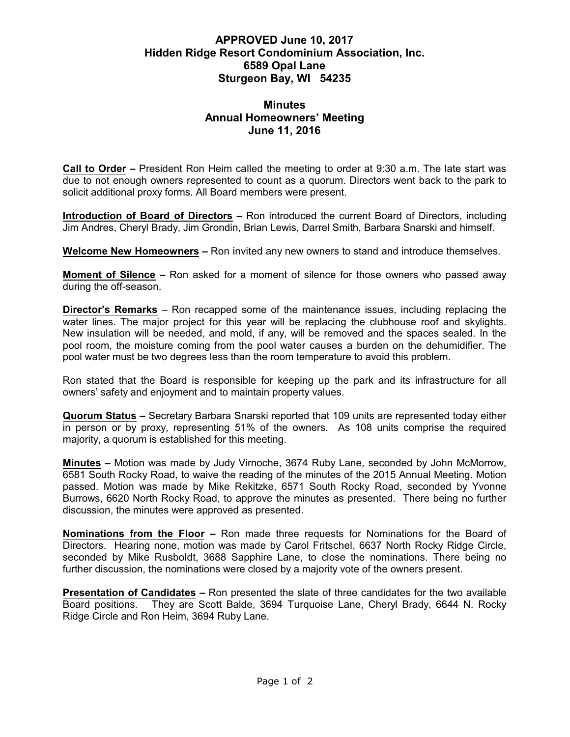## **APPROVED June 10, 2017 Hidden Ridge Resort Condominium Association, Inc. 6589 Opal Lane Sturgeon Bay, WI 54235**

## **Minutes Annual Homeowners' Meeting June 11, 2016**

**Call to Order –** President Ron Heim called the meeting to order at 9:30 a.m. The late start was due to not enough owners represented to count as a quorum. Directors went back to the park to solicit additional proxy forms. All Board members were present.

**Introduction of Board of Directors –** Ron introduced the current Board of Directors, including Jim Andres, Cheryl Brady, Jim Grondin, Brian Lewis, Darrel Smith, Barbara Snarski and himself.

**Welcome New Homeowners –** Ron invited any new owners to stand and introduce themselves.

**Moment of Silence –** Ron asked for a moment of silence for those owners who passed away during the off-season.

**Director's Remarks** – Ron recapped some of the maintenance issues, including replacing the water lines. The major project for this year will be replacing the clubhouse roof and skylights. New insulation will be needed, and mold, if any, will be removed and the spaces sealed. In the pool room, the moisture coming from the pool water causes a burden on the dehumidifier. The pool water must be two degrees less than the room temperature to avoid this problem.

Ron stated that the Board is responsible for keeping up the park and its infrastructure for all owners' safety and enjoyment and to maintain property values.

**Quorum Status –** Secretary Barbara Snarski reported that 109 units are represented today either in person or by proxy, representing 51% of the owners. As 108 units comprise the required majority, a quorum is established for this meeting.

**Minutes –** Motion was made by Judy Virnoche, 3674 Ruby Lane, seconded by John McMorrow, 6581 South Rocky Road, to waive the reading of the minutes of the 2015 Annual Meeting. Motion passed. Motion was made by Mike Rekitzke, 6571 South Rocky Road, seconded by Yvonne Burrows, 6620 North Rocky Road, to approve the minutes as presented. There being no further discussion, the minutes were approved as presented.

**Nominations from the Floor –** Ron made three requests for Nominations for the Board of Directors. Hearing none, motion was made by Carol Fritschel, 6637 North Rocky Ridge Circle, seconded by Mike Rusboldt, 3688 Sapphire Lane, to close the nominations. There being no further discussion, the nominations were closed by a majority vote of the owners present.

**Presentation of Candidates –** Ron presented the slate of three candidates for the two available Board positions. They are Scott Balde, 3694 Turquoise Lane, Cheryl Brady, 6644 N. Rocky Ridge Circle and Ron Heim, 3694 Ruby Lane.